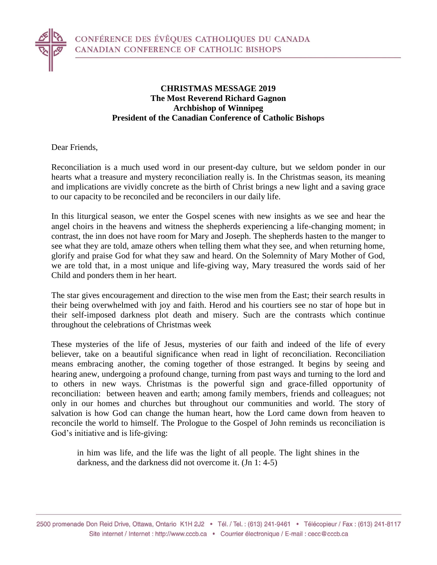

## **CHRISTMAS MESSAGE 2019 The Most Reverend Richard Gagnon Archbishop of Winnipeg President of the Canadian Conference of Catholic Bishops**

Dear Friends,

Reconciliation is a much used word in our present-day culture, but we seldom ponder in our hearts what a treasure and mystery reconciliation really is. In the Christmas season, its meaning and implications are vividly concrete as the birth of Christ brings a new light and a saving grace to our capacity to be reconciled and be reconcilers in our daily life.

In this liturgical season, we enter the Gospel scenes with new insights as we see and hear the angel choirs in the heavens and witness the shepherds experiencing a life-changing moment; in contrast, the inn does not have room for Mary and Joseph. The shepherds hasten to the manger to see what they are told, amaze others when telling them what they see, and when returning home, glorify and praise God for what they saw and heard. On the Solemnity of Mary Mother of God, we are told that, in a most unique and life-giving way, Mary treasured the words said of her Child and ponders them in her heart.

The star gives encouragement and direction to the wise men from the East; their search results in their being overwhelmed with joy and faith. Herod and his courtiers see no star of hope but in their self-imposed darkness plot death and misery. Such are the contrasts which continue throughout the celebrations of Christmas week

These mysteries of the life of Jesus, mysteries of our faith and indeed of the life of every believer, take on a beautiful significance when read in light of reconciliation. Reconciliation means embracing another, the coming together of those estranged. It begins by seeing and hearing anew, undergoing a profound change, turning from past ways and turning to the lord and to others in new ways. Christmas is the powerful sign and grace-filled opportunity of reconciliation: between heaven and earth; among family members, friends and colleagues; not only in our homes and churches but throughout our communities and world. The story of salvation is how God can change the human heart, how the Lord came down from heaven to reconcile the world to himself. The Prologue to the Gospel of John reminds us reconciliation is God's initiative and is life-giving:

in him was life, and the life was the light of all people. The light shines in the darkness, and the darkness did not overcome it. (Jn 1: 4-5)